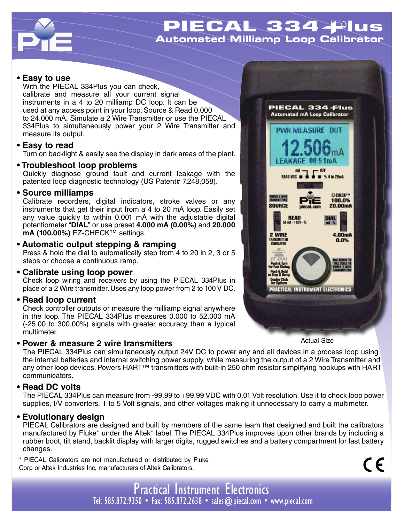

# PIECAL 334 Plus **Automated Milliamp Loop Calibrator**

#### **• Easy to use**

With the PIECAL 334Plus you can check, calibrate and measure all your current signal instruments in a 4 to 20 milliamp DC loop. It can be used at any access point in your loop. Source & Read 0.000 to 24.000 mA, Simulate a 2 Wire Transmitter or use the PIECAL 334Plus to simultaneously power your 2 Wire Transmitter and measure its output.

#### **• Easy to read**

Turn on backlight & easily see the display in dark areas of the plant.

#### **• Troubleshoot loop problems**

Quickly diagnose ground fault and current leakage with the patented loop diagnostic technology (US Patent# 7,248,058).

#### **• Source milliamps**

Calibrate recorders, digital indicators, stroke valves or any instruments that get their input from a 4 to 20 mA loop. Easily set any value quickly to within 0.001 mA with the adjustable digital potentiometer "**DIAL**" or use preset **4.000 mA (0.00%)** and **20.000 mA (100.00%)** EZ-CHECK™ settings.

### **• Automatic output stepping & ramping**

Press & hold the dial to automatically step from 4 to 20 in 2, 3 or 5 steps or choose a continuous ramp.

### **• Calibrate using loop power**

Check loop wiring and receivers by using the PIECAL 334Plus in place of a 2 Wire transmitter. Uses any loop power from 2 to 100 V DC.

### **• Read loop current**

Check controller outputs or measure the milliamp signal anywhere in the loop. The PIECAL 334Plus measures 0.000 to 52.000 mA (-25.00 to 300.00%) signals with greater accuracy than a typical multimeter.

### **• Power & measure 2 wire transmitters**



Actual Size

 $C \in$ 

The PIECAL 334Plus can simultaneously output 24V DC to power any and all devices in a process loop using the internal batteries and internal switching power supply, while measuring the output of a 2 Wire Transmitter and any other loop devices. Powers HART™ transmitters with built-in 250 ohm resistor simplifying hookups with HART communicators.

### **• Read DC volts**

The PIECAL 334Plus can measure from -99.99 to +99.99 VDC with 0.01 Volt resolution. Use it to check loop power supplies, I/V converters, 1 to 5 Volt signals, and other voltages making it unnecessary to carry a multimeter.

### **• Evolutionary design**

PIECAL Calibrators are designed and built by members of the same team that designed and built the calibrators manufactured by Fluke\* under the Altek\* label. The PIECAL 334Plus improves upon other brands by including a rubber boot, tilt stand, backlit display with larger digits, rugged switches and a battery compartment for fast battery changes.

\* PIECAL Calibrators are not manufactured or distributed by Fluke Corp or Altek Industries Inc, manufacturers of Altek Calibrators.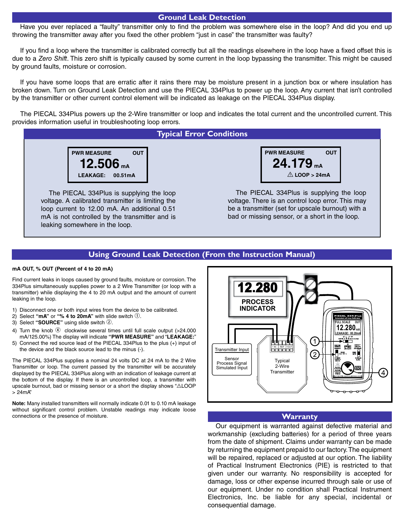#### **Ground Leak Detection**

Have you ever replaced a "faulty" transmitter only to find the problem was somewhere else in the loop? And did you end up throwing the transmitter away after you fixed the other problem "just in case" the transmitter was faulty?

If you find a loop where the transmitter is calibrated correctly but all the readings elsewhere in the loop have a fixed offset this is due to a *Zero Shift*. This zero shift is typically caused by some current in the loop bypassing the transmitter. This might be caused by ground faults, moisture or corrosion.

If you have some loops that are erratic after it rains there may be moisture present in a junction box or where insulation has broken down. Turn on Ground Leak Detection and use the PIECAL 334Plus to power up the loop. Any current that isn't controlled by the transmitter or other current control element will be indicated as leakage on the PIECAL 334Plus display.

The PIECAL 334Plus powers up the 2-Wire transmitter or loop and indicates the total current and the uncontrolled current. This provides information useful in troubleshooting loop errors.

#### **Typical Error Conditions**



The PIECAL 334Plus is supplying the loop voltage. A calibrated transmitter is limiting the loop current to 12.00 mA. An additional 0.51 mA is not controlled by the transmitter and is leaking somewhere in the loop.



The PIECAL 334Plus is supplying the loop voltage. There is an control loop error. This may be a transmitter (set for upscale burnout) with a bad or missing sensor, or a short in the loop.

#### **Using Ground Leak Detection (From the Instruction Manual)**

#### **mA OUT, % OUT (Percent of 4 to 20 mA)**

Find current leaks in loops caused by ground faults, moisture or corrosion. The 334Plus simultaneously supplies power to a 2 Wire Transmitter (or loop with a transmitter) while displaying the 4 to 20 mA output and the amount of current leaking in the loop.

- 1) Disconnect one or both input wires from the device to be calibrated.
- 2) Select " $mA$ " or "% 4 to 20 $mA$ " with slide switch  $\odot$ .
- 3) Select "**SOURCE**" using slide switch 2.
- 4) Turn the knob  $\textcircled{\tiny{4}}$  clockwise several times until full scale output (>24.000 mA/125.00%) The display will indicate **"PWR MEASURE"** and "**LEAKAGE:**"
- 5) Connect the red source lead of the PIECAL 334Plus to the plus (+) input of the device and the black source lead to the minus (-).

The PIECAL 334Plus supplies a nominal 24 volts DC at 24 mA to the 2 Wire Transmitter or loop. The current passed by the transmitter will be accurately displayed by the PIECAL 334Plus along with an indication of leakage current at the bottom of the display. If there is an uncontrolled loop, a transmitter with upscale burnout, bad or missing sensor or a short the display shows "ALOOP > 24mA"

**Note:** Many installed transmitters will normally indicate 0.01 to 0.10 mA leakage without significant control problem. Unstable readings may indicate loose connections or the presence of moisture.



#### **Warranty**

Our equipment is warranted against defective material and workmanship (excluding batteries) for a period of three years from the date of shipment. Claims under warranty can be made by returning the equipment prepaid to our factory. The equipment will be repaired, replaced or adjusted at our option. The liability of Practical Instrument Electronics (PIE) is restricted to that given under our warranty. No responsibility is accepted for damage, loss or other expense incurred through sale or use of our equipment. Under no condition shall Practical Instrument Electronics, Inc. be liable for any special, incidental or consequential damage.